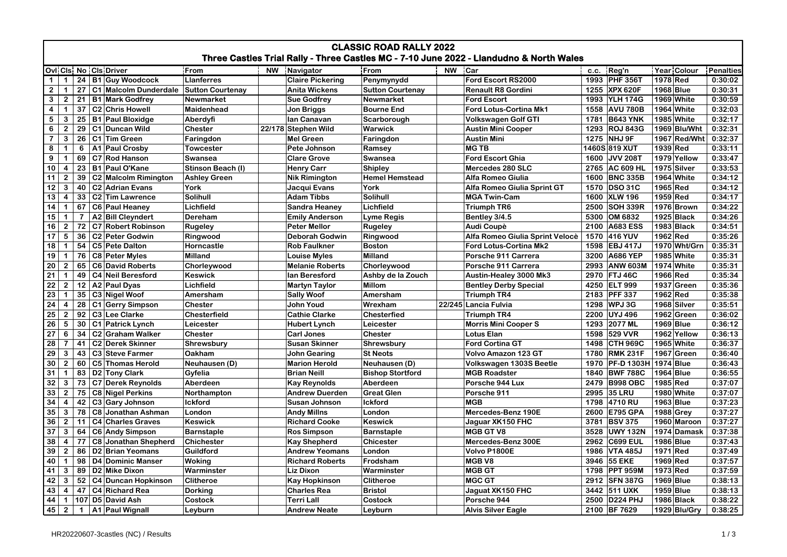| <b>CLASSIC ROAD RALLY 2022</b><br>Three Castles Trial Rally - Three Castles MC - 7-10 June 2022 - Llandudno & North Wales |                         |                |  |                                        |                     |           |                         |                         |           |                                 |      |                               |                    |           |
|---------------------------------------------------------------------------------------------------------------------------|-------------------------|----------------|--|----------------------------------------|---------------------|-----------|-------------------------|-------------------------|-----------|---------------------------------|------|-------------------------------|--------------------|-----------|
|                                                                                                                           |                         |                |  | Ovi Cis No Cis Driver                  | From                | <b>NW</b> | Navigator               | From                    | <b>NW</b> | Car                             | c.c. | Reg'n                         | <b>Year Colour</b> | Penalties |
| $\mathbf 1$                                                                                                               | $\mathbf 1$             |                |  | 24   B1   Guy Woodcock                 | <b>Llanferres</b>   |           | <b>Claire Pickering</b> | Penymynydd              |           | Ford Escort RS2000              |      | 1993 PHF 356T                 | 1978 Red           | 0:30:02   |
| $\mathbf{2}$                                                                                                              | $\mathbf{1}$            | 27             |  | C1 Malcolm Dunderdale Sutton Courtenay |                     |           | <b>Anita Wickens</b>    | <b>Sutton Courtenay</b> |           | <b>Renault R8 Gordini</b>       |      | 1255 XPX 620F                 | 1968 Blue          | 0:30:31   |
| 3                                                                                                                         | $\overline{2}$          | 21             |  | <b>B1 Mark Godfrey</b>                 | <b>Newmarket</b>    |           | <b>Sue Godfrey</b>      | <b>Newmarket</b>        |           | <b>Ford Escort</b>              | 1993 | <b>YLH 174G</b>               | 1969 White         | 0:30:59   |
| $\overline{\mathbf{4}}$                                                                                                   | $\mathbf{1}$            | 37             |  | C <sub>2</sub> Chris Howell            | <b>Maidenhead</b>   |           | <b>Jon Briggs</b>       | <b>Bourne End</b>       |           | Ford Lotus-Cortina Mk1          | 1558 | <b>AVU 780B</b>               | 1964 White         | 0:32:03   |
| 5                                                                                                                         | 3                       | 25             |  | <b>B1</b> Paul Bloxidge                | Aberdyfi            |           | Ian Canavan             | Scarborough             |           | <b>Volkswagen Golf GTI</b>      | 1781 | <b>B643 YNK</b>               | 1985 White         | 0:32:17   |
| 6                                                                                                                         | $\overline{2}$          | 29             |  | C1 Duncan Wild                         | <b>Chester</b>      |           | 22/178 Stephen Wild     | Warwick                 |           | <b>Austin Mini Cooper</b>       | 1293 | <b>ROJ 843G</b>               | 1969 Blu/Wht       | 0:32:31   |
| $\overline{7}$                                                                                                            | 3                       | 26             |  | C1 Tim Green                           | Faringdon           |           | <b>Mel Green</b>        | Faringdon               |           | <b>Austin Mini</b>              |      | 1275 NHJ 9F                   | 1967 Red/Wht       | 0:32:37   |
| $\bf 8$                                                                                                                   | $\mathbf{1}$            | 6              |  | A1 Paul Crosby                         | <b>Towcester</b>    |           | Pete Johnson            | Ramsey                  |           | <b>MG TB</b>                    |      | 1460S 819 XUT                 | 1939 Red           | 0:33:11   |
| 9                                                                                                                         | $\mathbf{1}$            | 69             |  | C7 Rod Hanson                          | <b>Swansea</b>      |           | <b>Clare Grove</b>      | Swansea                 |           | <b>Ford Escort Ghia</b>         | 1600 | <b>JVV 208T</b>               | 1979 Yellow        | 0:33:47   |
| 10                                                                                                                        | $\overline{\mathbf{4}}$ | 23             |  | <b>B1 Paul O'Kane</b>                  | Stinson Beach (I)   |           | <b>Henry Carr</b>       | Shipley                 |           | Mercedes 280 SLC                | 2765 | <b>AC 609 HL</b>              | 1975 Silver        | 0:33:53   |
| 11                                                                                                                        | $\overline{\mathbf{2}}$ | 39             |  | C2 Malcolm Rimington                   | <b>Ashley Green</b> |           | <b>Nik Rimington</b>    | <b>Hemel Hemstead</b>   |           | Alfa Romeo Giulia               | 1600 | <b>BNC 335B</b>               | 1964 White         | 0:34:12   |
| 12                                                                                                                        | $\mathbf{3}$            | 40             |  | C <sub>2</sub> Adrian Evans            | York                |           | Jacqui Evans            | York                    |           | Alfa Romeo Giulia Sprint GT     | 1570 | <b>DSO 31C</b>                | 1965 Red           | 0:34:12   |
| 13                                                                                                                        | $\overline{\mathbf{4}}$ | 33             |  | C2 Tim Lawrence                        | Solihull            |           | <b>Adam Tibbs</b>       | Solihull                |           | <b>MGA Twin-Cam</b>             |      | 1600 XLW 196                  | 1959 Red           | 0:34:17   |
| 14                                                                                                                        | $\mathbf{1}$            | 67             |  | C6 Paul Heaney                         | Lichfield           |           | <b>Sandra Heaney</b>    | Lichfield               |           | <b>Triumph TR6</b>              | 2500 | <b>SOH 339R</b>               | 1976 Brown         | 0:34:22   |
| 15                                                                                                                        | $\overline{1}$          | $\overline{7}$ |  | A2 Bill Cleyndert                      | Dereham             |           | <b>Emily Anderson</b>   | <b>Lyme Regis</b>       |           | Bentley 3/4.5                   | 5300 | OM 6832                       | 1925 Black         | 0:34:26   |
| 16                                                                                                                        | $\overline{2}$          | 72             |  | <b>C7 Robert Robinson</b>              | <b>Rugeley</b>      |           | <b>Peter Mellor</b>     | <b>Rugeley</b>          |           | Audi Coupè                      | 2100 | <b>A683 ESS</b>               | 1983 Black         | 0:34:51   |
| 17                                                                                                                        | 5                       | 36             |  | C2 Peter Godwin                        | Ringwood            |           | <b>Deborah Godwin</b>   | Ringwood                |           | Alfa Romeo Giulia Sprint Velocè | 1570 | <b>416 YUV</b>                | 1962 Red           | 0:35:26   |
| 18                                                                                                                        | $\overline{1}$          | 54             |  | C5 Pete Dalton                         | Horncastle          |           | <b>Rob Faulkner</b>     | <b>Boston</b>           |           | <b>Ford Lotus-Cortina Mk2</b>   | 1598 | <b>EBJ 417J</b>               | 1970 Wht/Grn       | 0:35:31   |
| 19                                                                                                                        | $\overline{1}$          | 76             |  | <b>C8 Peter Myles</b>                  | <b>Milland</b>      |           | <b>Louise Myles</b>     | Milland                 |           | Porsche 911 Carrera             | 3200 | <b>A686 YEP</b>               | 1985 White         | 0:35:31   |
| 20                                                                                                                        | $\overline{2}$          | 65             |  | C6 David Roberts                       | Chorleywood         |           | <b>Melanie Roberts</b>  | Chorleywood             |           | Porsche 911 Carrera             | 2993 | <b>ANW 603M</b>               | 1974 White         | 0:35:31   |
| 21                                                                                                                        | $\overline{1}$          | 49             |  | C4 Neil Beresford                      | <b>Keswick</b>      |           | lan Beresford           | Ashby de la Zouch       |           | Austin-Healey 3000 Mk3          | 2970 | FTJ 46C                       | 1966 Red           | 0:35:34   |
| 22                                                                                                                        | $\boldsymbol{2}$        | 12             |  | A2 Paul Dyas                           | Lichfield           |           | <b>Martyn Taylor</b>    | <b>Millom</b>           |           | <b>Bentley Derby Special</b>    | 4250 | <b>ELT 999</b>                | 1937 Green         | 0:35:36   |
| 23                                                                                                                        | $\mathbf{1}$            | 35             |  | C3 Nigel Woof                          | Amersham            |           | <b>Sally Woof</b>       | Amersham                |           | <b>Triumph TR4</b>              | 2183 | <b>PFF 337</b>                | 1962 Red           | 0:35:38   |
| 24                                                                                                                        | $\overline{\mathbf{4}}$ | 28             |  | C1 Gerry Simpson                       | <b>Chester</b>      |           | John Youd               | Wrexham                 |           | 22/245 Lancia Fulvia            | 1298 | WPJ 3G                        | 1968 Silver        | 0:35:51   |
| 25                                                                                                                        | $\overline{2}$          | 92             |  | C3 Lee Clarke                          | Chesterfield        |           | <b>Cathie Clarke</b>    | <b>Chesterfied</b>      |           | <b>Triumph TR4</b>              | 2200 | UYJ 496                       | 1962 Green         | 0:36:02   |
| 26                                                                                                                        | $\sqrt{5}$              | 30             |  | C1 Patrick Lynch                       | Leicester           |           | <b>Hubert Lynch</b>     | Leicester               |           | <b>Morris Mini Cooper S</b>     | 1293 | 2077 ML                       | 1969 Blue          | 0:36:12   |
| $\overline{27}$                                                                                                           | 6                       | 34             |  | C2 Graham Walker                       | Chester             |           | <b>Carl Jones</b>       | <b>Chester</b>          |           | Lotus Elan                      |      | 1598 529 VVR                  | 1962 Yellow        | 0:36:13   |
| 28                                                                                                                        | $\overline{7}$          | 41             |  | C2 Derek Skinner                       | Shrewsbury          |           | <b>Susan Skinner</b>    | <b>Shrewsbury</b>       |           | <b>Ford Cortina GT</b>          |      | 1498 CTH 969C                 | 1965 White         | 0:36:37   |
| 29                                                                                                                        | 3                       | 43             |  | C <sub>3</sub> Steve Farmer            | Oakham              |           | <b>John Gearing</b>     | <b>St Neots</b>         |           | Volvo Amazon 123 GT             | 1780 | <b>RMK 231F</b>               | 1967 Green         | 0:36:40   |
| 30                                                                                                                        | $\overline{2}$          | 60             |  | <b>C5 Thomas Herold</b>                | Neuhausen (D)       |           | <b>Marion Herold</b>    | Neuhausen (D)           |           | Volkswagen 1303S Beetle         |      | 1970   PF-D 1303H   1974 Blue |                    | 0:36:43   |
| 31                                                                                                                        | $\mathbf{1}$            | 83             |  | D2 Tony Clark                          | Gyfelia             |           | <b>Brian Neill</b>      | <b>Bishop Stortford</b> |           | <b>MGB Roadster</b>             | 1840 | <b>BWF 788C</b>               | 1964 Blue          | 0:36:55   |
| 32                                                                                                                        | 3                       | 73             |  | <b>C7 Derek Reynolds</b>               | Aberdeen            |           | <b>Kay Reynolds</b>     | Aberdeen                |           | Porsche 944 Lux                 | 2479 | <b>B998 OBC</b>               | 1985 Red           | 0:37:07   |
| 33                                                                                                                        | $\overline{\mathbf{2}}$ | 75             |  | C8 Nigel Perkins                       | Northampton         |           | <b>Andrew Duerden</b>   | <b>Great Glen</b>       |           | Porsche 911                     | 2995 | <b>35 LRU</b>                 | 1980 White         | 0:37:07   |
| 34                                                                                                                        | $\overline{\mathbf{4}}$ | 42             |  | C3 Gary Johnson                        | <b>Ickford</b>      |           | Susan Johnson           | <b>Ickford</b>          |           | <b>MGB</b>                      |      | 1798 4710 RU                  | 1963 Blue          | 0:37:23   |
| 35                                                                                                                        | 3                       | 78             |  | C8 Jonathan Ashman                     | London              |           | <b>Andy Millns</b>      | London                  |           | Mercedes-Benz 190E              | 2600 | <b>E795 GPA</b>               | 1988 Grey          | 0:37:27   |
| 36                                                                                                                        | $\overline{2}$          | 11             |  | C4 Charles Graves                      | <b>Keswick</b>      |           | <b>Richard Cooke</b>    | <b>Keswick</b>          |           | Jaguar XK150 FHC                |      | 3781 BSV 375                  | 1960 Maroon        | 0:37:27   |
| 37                                                                                                                        | $\mathbf{3}$            | 64             |  | C6 Andy Simpson                        | <b>Barnstaple</b>   |           | <b>Ros Simpson</b>      | <b>Barnstaple</b>       |           | <b>MGB GT V8</b>                | 3528 | <b>UWY 132N</b>               | 1974 Damask        | 0:37:38   |
| 38                                                                                                                        | $\overline{\mathbf{4}}$ | 77             |  | C8 Jonathan Shepherd                   | <b>Chichester</b>   |           | <b>Kay Shepherd</b>     | <b>Chicester</b>        |           | Mercedes-Benz 300E              | 2962 | <b>C699 EUL</b>               | 1986 Blue          | 0:37:43   |
| 39                                                                                                                        | $\overline{\mathbf{2}}$ | 86             |  | D <sub>2</sub> Brian Yeomans           | Guildford           |           | <b>Andrew Yeomans</b>   | London                  |           | Volvo P1800E                    | 1986 | <b>VTA 485J</b>               | 1971 Red           | 0:37:49   |
| 40                                                                                                                        | $\mathbf{1}$            | 98             |  | D4 Dominic Manser                      | Woking              |           | <b>Richard Roberts</b>  | Frodsham                |           | MGB <sub>V8</sub>               | 3946 | <b>55 EKE</b>                 | 1969 Red           | 0:37:57   |
| 41                                                                                                                        | 3                       |                |  | 89   D2   Mike Dixon                   | Warminster          |           | Liz Dixon               | Warminster              |           | <b>MGB GT</b>                   |      | 1798 PPT 959M                 | 1973 Red           | 0:37:59   |
| 42                                                                                                                        | 3                       | 52             |  | C4 Duncan Hopkinson                    | <b>Clitheroe</b>    |           | <b>Kay Hopkinson</b>    | <b>Clitheroe</b>        |           | <b>MGC GT</b>                   |      | 2912 SFN 387G                 | 1969 Blue          | 0:38:13   |
| 43                                                                                                                        | $\overline{\mathbf{4}}$ | 47             |  | C4 Richard Rea                         | <b>Dorking</b>      |           | <b>Charles Rea</b>      | <b>Bristol</b>          |           | Jaguat XK150 FHC                |      | 3442 511 UXK                  | 1959 Blue          | 0:38:13   |
| 44                                                                                                                        | $\mathbf{1}$            |                |  | 107 D5 David Ash                       | Costock             |           | Terri Lall              | Costock                 |           | Porsche 944                     |      | 2500 D224 PHJ                 | 1986 Black         | 0:38:22   |
| 45                                                                                                                        | $\overline{2}$          | $\mathbf 1$    |  | A1 Paul Wignall                        | Leyburn             |           | <b>Andrew Neate</b>     | Leyburn                 |           | <b>Alvis Silver Eagle</b>       |      | 2100 BF 7629                  | 1929 Blu/Gry       | 0:38:25   |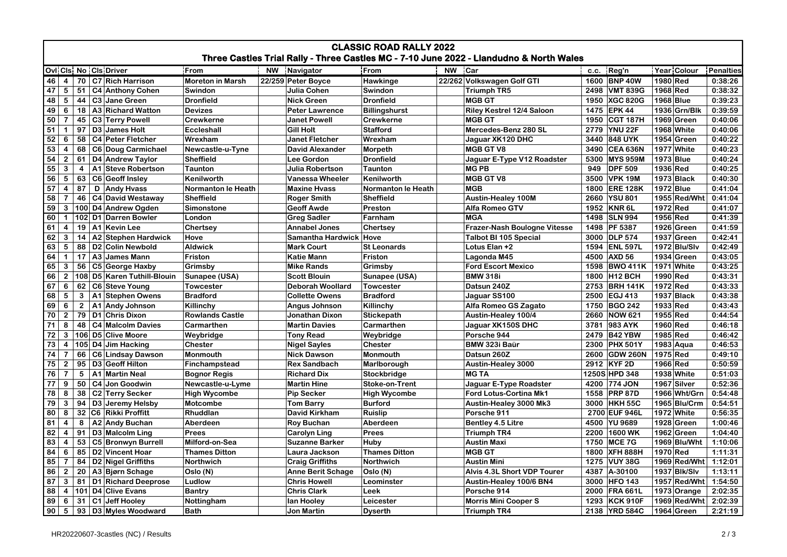| <b>CLASSIC ROAD RALLY 2022</b><br>Three Castles Trial Rally - Three Castles MC - 7-10 June 2022 - Llandudno & North Wales                   |                         |              |                                        |                                      |  |                                          |                                    |  |                                           |      |                                |                          |                    |
|---------------------------------------------------------------------------------------------------------------------------------------------|-------------------------|--------------|----------------------------------------|--------------------------------------|--|------------------------------------------|------------------------------------|--|-------------------------------------------|------|--------------------------------|--------------------------|--------------------|
| <b>Ovi Cis No Cis Driver</b><br><b>NW</b><br>Car<br>Year Colour<br>From<br><b>NW</b><br>From<br>c.c. Reg'n<br><b>Penalties</b><br>Navigator |                         |              |                                        |                                      |  |                                          |                                    |  |                                           |      |                                |                          |                    |
| 46                                                                                                                                          | $\overline{4}$          | 70           | C7 Rich Harrison                       | <b>Moreton in Marsh</b>              |  | 22/259 Peter Boyce                       | <b>Hawkinge</b>                    |  | 22/262 Volkswagen Golf GTI                |      | 1600 BNP 40W                   | 1980 Red                 | 0:38:26            |
| 47                                                                                                                                          | $5\phantom{.0}$         | 51           | C4 Anthony Cohen                       | Swindon                              |  | Julia Cohen                              | Swindon                            |  | <b>Triumph TR5</b>                        |      | 2498 VMT 839G                  | 1968 Red                 | 0:38:32            |
| 48                                                                                                                                          | ${\bf 5}$               | 44           | C <sub>3</sub> Jane Green              | <b>Dronfield</b>                     |  | <b>Nick Green</b>                        | <b>Dronfield</b>                   |  | <b>MGB GT</b>                             |      | 1950 XGC 820G                  | 1968 Blue                | 0:39:23            |
| 49                                                                                                                                          | 6                       | 18           | A3 Richard Watton                      | <b>Devizes</b>                       |  | <b>Peter Lawrence</b>                    | <b>Billingshurst</b>               |  | <b>Riley Kestrel 12/4 Saloon</b>          |      | 1475 EPK 44                    | 1936 Grn/Blk             | 0:39:59            |
| 50                                                                                                                                          | $\overline{7}$          | 45           | C3 Terry Powell                        | <b>Crewkerne</b>                     |  | <b>Janet Powell</b>                      | <b>Crewkerne</b>                   |  | <b>MGB GT</b>                             |      | 1950 CGT 187H                  | 1969 Green               | 0:40:06            |
| 51                                                                                                                                          |                         | 97           | D <sub>3</sub> James Holt              |                                      |  |                                          |                                    |  | Mercedes-Benz 280 SL                      |      | 2779 YNU 22F                   |                          |                    |
|                                                                                                                                             | $\mathbf{1}$<br>6       | 58           | C4 Peter Fletcher                      | Eccleshall                           |  | <b>Gill Holt</b>                         | <b>Stafford</b><br>Wrexham         |  |                                           |      | 3440 848 UYK                   | 1968 White<br>1954 Green | 0:40:06<br>0:40:22 |
| 52<br>53                                                                                                                                    |                         | 68           |                                        | Wrexham                              |  | Janet Fletcher<br><b>David Alexander</b> |                                    |  | Jaguar XK120 DHC<br><b>MGB GT V8</b>      |      | 3490 CEA 636N                  | 1977 White               | 0:40:23            |
| 54                                                                                                                                          | 4                       | 61           | C6 Doug Carmichael<br>D4 Andrew Taylor | Newcastle-u-Tyne<br><b>Sheffield</b> |  | <b>Lee Gordon</b>                        | <b>Morpeth</b><br><b>Dronfield</b> |  |                                           |      | 5300 MYS 959M                  | 1973 Blue                | 0:40:24            |
|                                                                                                                                             | $\bf 2$                 |              |                                        |                                      |  |                                          |                                    |  | Jaguar E-Type V12 Roadster<br><b>MGPB</b> |      |                                |                          |                    |
| 55<br>56                                                                                                                                    | 3                       | 4<br>63      | A1 Steve Robertson<br>C6 Geoff Insley  | <b>Taunton</b>                       |  | Julia Robertson                          | <b>Taunton</b>                     |  | <b>MGB GT V8</b>                          | 949  | <b>DPF 509</b><br>3500 VPK 19M | 1936 Red<br>1973 Black   | 0:40:25<br>0:40:30 |
|                                                                                                                                             | $\sqrt{5}$              | 87           |                                        | Kenilworth                           |  | Vanessa Wheeler                          | Kenilworth                         |  |                                           |      |                                |                          |                    |
| 57                                                                                                                                          | $\overline{\mathbf{4}}$ |              | D   Andy Hyass                         | Normanton le Heath                   |  | <b>Maxine Hvass</b>                      | <b>Normanton le Heath</b>          |  | <b>MGB</b>                                |      | 1800 ERE 128K                  | 1972 Blue                | 0:41:04            |
| 58                                                                                                                                          | $\overline{7}$          | 46           | C4 David Westaway                      | <b>Sheffield</b>                     |  | <b>Roger Smith</b>                       | <b>Sheffield</b>                   |  | <b>Austin-Healey 100M</b>                 |      | 2660 YSU 801                   | 1955 Red/Wht             | 0:41:04            |
| 59                                                                                                                                          | 3                       |              | 100 D4 Andrew Ogden                    | Simonstone                           |  | <b>Geoff Awde</b>                        | Preston                            |  | <b>Alfa Romeo GTV</b>                     |      | 1952 KNR 6L                    | 1972 Red                 | 0:41:07            |
| 60                                                                                                                                          | $\mathbf 1$             |              | 102 D1 Darren Bowler                   | London                               |  | <b>Greg Sadler</b>                       | Farnham                            |  | <b>MGA</b>                                |      | 1498 SLN 994                   | 1956 Red                 | 0:41:39            |
| 61                                                                                                                                          | $\overline{\mathbf{4}}$ | 19           | A1 Kevin Lee                           | Chertsey                             |  | <b>Annabel Jones</b>                     | Chertsey                           |  | <b>Frazer-Nash Boulogne Vitesse</b>       |      | 1498   PF 5387                 | 1926 Green               | 0:41:59            |
| 62                                                                                                                                          | 3                       | 14           | A2 Stephen Hardwick                    | Hove                                 |  | Samantha Hardwick   Hove                 |                                    |  | <b>Talbot BI 105 Special</b>              |      | 3000 DLP 574                   | 1937 Green               | 0:42:41            |
| 63                                                                                                                                          | 5                       | 88           | D <sub>2</sub> Colin Newbold           | <b>Aldwick</b>                       |  | <b>Mark Court</b>                        | <b>St Leonards</b>                 |  | Lotus Elan +2                             |      | 1594 ENL 597L                  | 1972 Blu/Slv             | 0:42:49            |
| 64                                                                                                                                          | $\mathbf{1}$            | 17           | A3 James Mann                          | Friston                              |  | <b>Katie Mann</b>                        | Friston                            |  | Lagonda M45                               |      | 4500 AXD 56                    | 1934 Green               | 0:43:05            |
| 65                                                                                                                                          | 3                       | 56           | C5 George Haxby                        | Grimsby                              |  | Mike Rands                               | Grimsby                            |  | <b>Ford Escort Mexico</b>                 |      | 1598 BWO 411K                  | 1971 White               | 0:43:25            |
| 66                                                                                                                                          | $\overline{2}$          |              | 108 D5 Karen Tuthill-Blouin            | Sunapee (USA)                        |  | <b>Scott Blouin</b>                      | Sunapee (USA)                      |  | <b>BMW 318i</b>                           |      | 1800 H12 BCH                   | 1990 Red                 | 0:43:31            |
| 67                                                                                                                                          | 6                       | 62           | C6 Steve Young                         | <b>Towcester</b>                     |  | <b>Deborah Woollard</b>                  | <b>Towcester</b>                   |  | Datsun 240Z                               |      | 2753 BRH 141K                  | 1972 Red                 | 0:43:33            |
| 68                                                                                                                                          | 5                       | 3            | A1 Stephen Owens                       | <b>Bradford</b>                      |  | <b>Collette Owens</b>                    | <b>Bradford</b>                    |  | Jaguar SS100                              |      | 2500 EGJ 413                   | 1937 Black               | 0:43:38            |
| 69                                                                                                                                          | 6                       | $\mathbf{2}$ | A1 Andy Johnson                        | Killinchy                            |  | Angus Johnson                            | Killinchy                          |  | Alfa Romeo GS Zagato                      |      | 1750 BGO 242                   | 1933 Red                 | 0:43:43            |
| 70                                                                                                                                          | $\overline{2}$          | 79           | D1 Chris Dixon                         | <b>Rowlands Castle</b>               |  | Jonathan Dixon                           | Stickepath                         |  | <b>Austin-Healey 100/4</b>                |      | 2660 NOW 621                   | 1955 Red                 | 0:44:54            |
| 71                                                                                                                                          | 8                       | 48           | C4 Malcolm Davies                      | Carmarthen                           |  | <b>Martin Davies</b>                     | Carmarthen                         |  | Jaguar XK150S DHC                         |      | 3781 983 AYK                   | 1960 Red                 | 0:46:18            |
| 72                                                                                                                                          | 3                       |              | 106 D5 Clive Moore                     | Weybridge                            |  | <b>Tony Read</b>                         | Weybridge                          |  | Porsche 944                               |      | 2479 B42 YBW                   | 1985 Red                 | 0:46:42            |
| 73                                                                                                                                          | $\overline{\mathbf{4}}$ |              | 105 D4 Jim Hacking                     | Chester                              |  | <b>Nigel Sayles</b>                      | Chester                            |  | BMW 323i Baür                             |      | 2300 PHX 501Y                  | 1983 Aqua                | 0:46:53            |
| 74                                                                                                                                          | $\overline{7}$          | 66           | C6 Lindsay Dawson                      | <b>Monmouth</b>                      |  | <b>Nick Dawson</b>                       | Monmouth                           |  | Datsun 260Z                               |      | 2600 GDW 260N                  | 1975 Red                 | 0:49:10            |
| 75                                                                                                                                          | $\overline{2}$          | 95           | D3 Geoff Hilton                        | Finchampstead                        |  | <b>Rex Sandbach</b>                      | Marlborough                        |  | <b>Austin-Healey 3000</b>                 |      | 2912 KYF 2D                    | 1966 Red                 | 0:50:59            |
| 76                                                                                                                                          | $\overline{7}$          | 5            | A1 Martin Neal                         | <b>Bognor Regis</b>                  |  | <b>Richard Dix</b>                       | Stockbridge                        |  | <b>MGTA</b>                               |      | 1250S HPD 348                  | 1938 White               | 0:51:03            |
| 77                                                                                                                                          | 9                       | 50           | C4 Jon Goodwin                         | Newcastle-u-Lyme                     |  | <b>Martin Hine</b>                       | Stoke-on-Trent                     |  | Jaguar E-Type Roadster                    |      | 4200 774 JON                   | 1967 Silver              | 0:52:36            |
| 78                                                                                                                                          | 8                       | 38           | C2 Terry Secker                        | <b>High Wycombe</b>                  |  | <b>Pip Secker</b>                        | <b>High Wycombe</b>                |  | Ford Lotus-Cortina Mk1                    | 1558 | <b>PRP 87D</b>                 | 1966 Wht/Grn             | 0:54:48            |
| 79                                                                                                                                          | 3                       | 94           | D3 Jeremy Helsby                       | <b>Motcombe</b>                      |  | <b>Tom Barry</b>                         | <b>Burford</b>                     |  | Austin-Healey 3000 Mk3                    |      | 3000 HKH 55C                   | 1965 Blu/Crm             | 0:54:51            |
| 80                                                                                                                                          | 8                       | 32           | C6 Rikki Proffitt                      | Rhuddlan                             |  | David Kirkham                            | <b>Ruislip</b>                     |  | Porsche 911                               |      | 2700 EUF 946L                  | 1972 White               | 0:56:35            |
| 81                                                                                                                                          | 4                       | 8            | A2 Andy Buchan                         | Aberdeen                             |  | <b>Roy Buchan</b>                        | Aberdeen                           |  | <b>Bentley 4.5 Litre</b>                  |      | 4500 YU 9689                   | 1928 Green               | 1:00:46            |
| 82                                                                                                                                          | 4                       | 91           | D3 Malcolm Ling                        | <b>Prees</b>                         |  | <b>Carolyn Ling</b>                      | Prees                              |  | <b>Triumph TR4</b>                        | 2200 | 1600 WK                        | 1962 Green               | 1:04:40            |
| 83                                                                                                                                          | $\overline{\mathbf{4}}$ | 53           | C5 Bronwyn Burrell                     | Milford-on-Sea                       |  | Suzanne Barker                           | Huby                               |  | <b>Austin Maxi</b>                        |      | 1750 MCE 7G                    | 1969 Blu/Wht             | 1:10:06            |
| 84                                                                                                                                          | 6                       | 85           | D2 Vincent Hoar                        | <b>Thames Ditton</b>                 |  | Laura Jackson                            | <b>Thames Ditton</b>               |  | <b>MGB GT</b>                             |      | 1800 XFH 888H                  | 1970 Red                 | 1:11:31            |
| 85                                                                                                                                          | $\overline{7}$          | 84           | D2 Nigel Griffiths                     | Northwich                            |  | Craig Griffiths                          | Northwich                          |  | <b>Austin Mini</b>                        |      | 1275 VUY 38G                   | 1969 Red/Wht             | 1:12:01            |
| 86                                                                                                                                          | $\mathbf{2}$            | 20           | A3 Bjørn Schage                        | Oslo (N)                             |  | <b>Anne Berit Schage</b>                 | Oslo (N)                           |  | Alvis 4.3L Short VDP Tourer               |      | 4387 A-30100                   | 1937 Blk/Slv             | 1:13:11            |
| 87                                                                                                                                          | $\mathbf{3}$            | 81           | D1 Richard Deeprose                    | Ludlow                               |  | <b>Chris Howell</b>                      | Leominster                         |  | Austin-Healey 100/6 BN4                   |      | 3000 HFO 143                   | 1957 Red/Wht 1:54:50     |                    |
| 88                                                                                                                                          | $\overline{\mathbf{4}}$ |              | 101 D4 Clive Evans                     | <b>Bantry</b>                        |  | <b>Chris Clark</b>                       | Leek                               |  | Porsche 914                               |      | 2000 FRA 661L                  | 1973 Orange              | 2:02:35            |
| 89                                                                                                                                          | 6                       | 31           | C1 Jeff Hooley                         | Nottingham                           |  | lan Hooley                               | Leicester                          |  | <b>Morris Mini Cooper S</b>               |      | 1293 KCK 910F                  | 1969 Red/Wht             | 2:02:39            |
| 90                                                                                                                                          | $5\phantom{.0}$         |              | 93   D3   Myles Woodward               | Bath                                 |  | <b>Jon Martin</b>                        | <b>Dyserth</b>                     |  | Triumph TR4                               |      | 2138 YRD 584C                  | 1964 Green               | 2:21:19            |